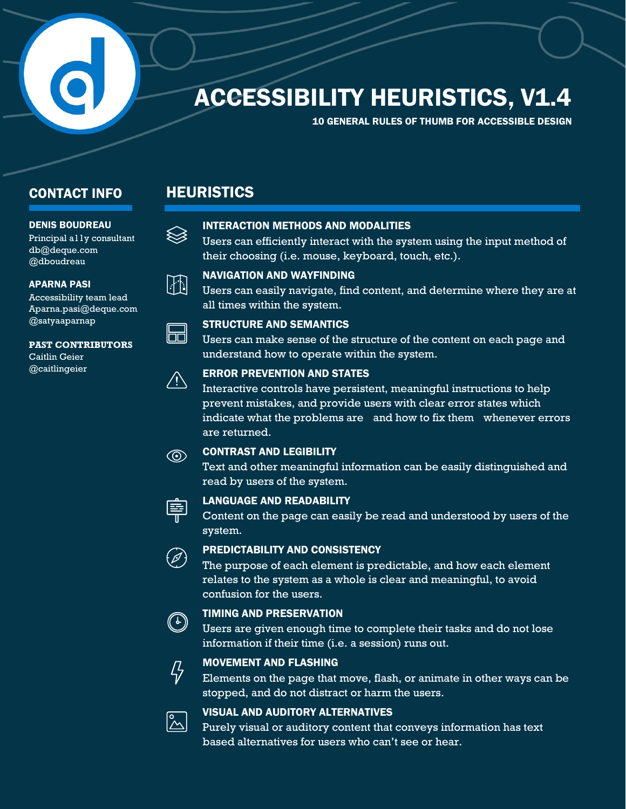# **ACCESSIBILITY HEURISTICS, V1.4**

10 GENERAL RULES OF THUMB FOR ACCESSIBLE DESIGN

### **CONTACT INFO**

#### DENIS BOUDREAU

Principal a11y consultant [db@deque.com](mailto:db@deque.com)  @dboudreau

#### APARNA PASI

Accessibility team lead [Aparna.pasi@deque.com](mailto:Aparna.pasi@deque.com) @satyaaparnap

#### **PAST CONTRIBUTORS**

Caitlin Geier @caitlingeier



 $\otimes$ 

**HEURISTICS** 

#### INTERACTION METHODS AND MODALITIES

 Users can efficiently interact with the system using the input method of their choosing (i.e. mouse, keyboard, touch, etc.).



 Users can easily navigate, find content, and determine where they are at all times within the system.



#### STRUCTURE AND SEMANTICS

Users can make sense of the structure of the content on each page and understand how to operate within the system.

#### ERROR PREVENTION AND STATES

 prevent mistakes, and provide users with clear error states which indicate what the problems are and how to fix them whenever errors Interactive controls have persistent, meaningful instructions to help are returned.

#### CONTRAST AND LEGIBILITY

 read by users of the system. Text and other meaningful information can be easily distinguished and



 $\circledcirc$ 

#### LANGUAGE AND READABILITY

Content on the page can easily be read and understood by users of the system.

#### PREDICTABILITY AND CONSISTENCY

 relates to the system as a whole is clear and meaningful, to avoid The purpose of each element is predictable, and how each element confusion for the users.



### TIMING AND PRESERVATION

 information if their time (i.e. a session) runs out. Users are given enough time to complete their tasks and do not lose



#### MOVEMENT AND FLASHING

Elements on the page that move, flash, or animate in other ways can be stopped, and do not distract or harm the users.



#### VISUAL AND AUDITORY ALTERNATIVES

Purely visual or auditory content that conveys information has text<br>based alternatives for users who can't see or hear.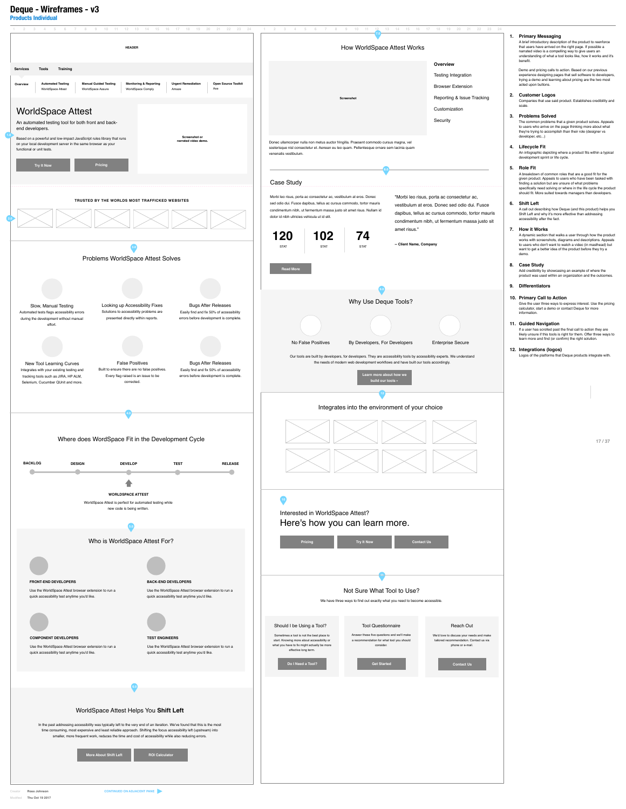

**6.0** 

## WorldSpace Attest Helps You **Shift Left**

In the past addressing accessibility was typically left to the very end of an iteration. We've found that this is the most time consuming, most expensive and least reliable approach. Shifting the focus accessibility left (upstream) into smaller, more frequent work, reduces the time and cost of accessibility while also reducing errors.



**Deque - Wireframes - v3**

**Products Individual** 



Modified **Thu Oct 19 2017**